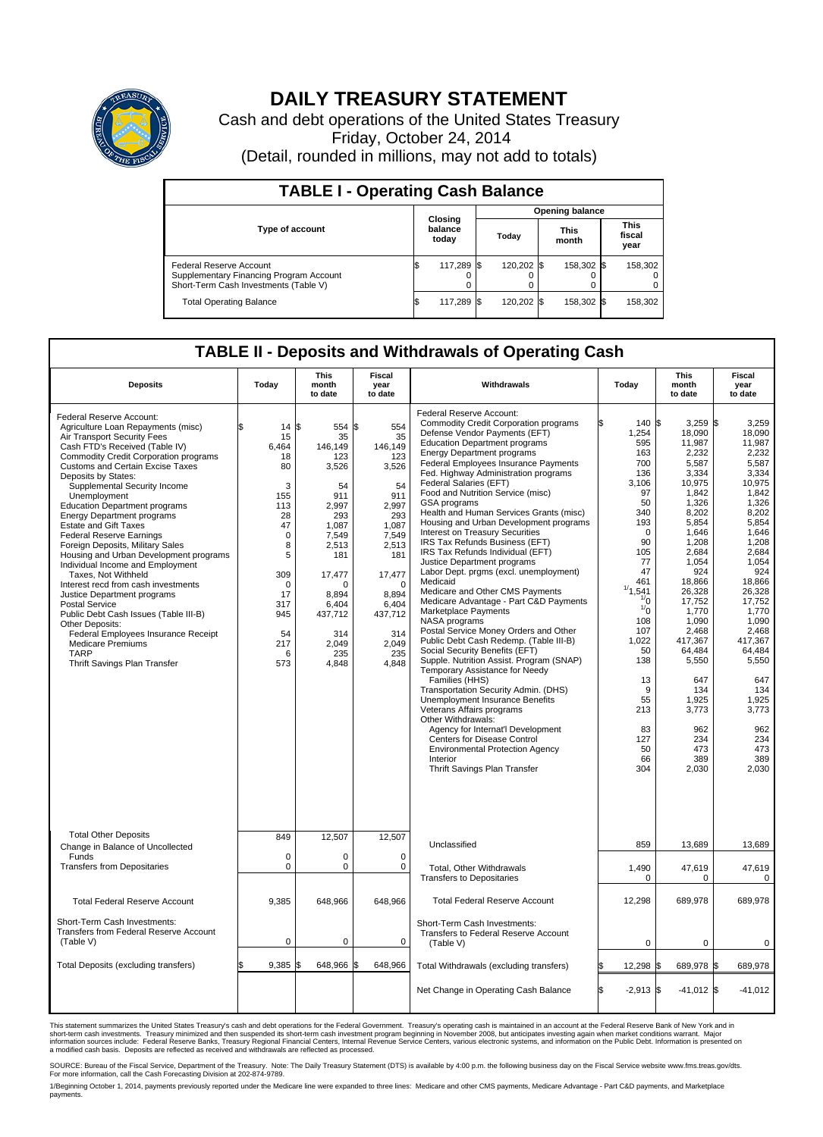

## **DAILY TREASURY STATEMENT**

Cash and debt operations of the United States Treasury Friday, October 24, 2014 (Detail, rounded in millions, may not add to totals)

| <b>TABLE I - Operating Cash Balance</b>                                                                     |   |                             |       |            |                      |            |  |                               |  |  |  |  |
|-------------------------------------------------------------------------------------------------------------|---|-----------------------------|-------|------------|----------------------|------------|--|-------------------------------|--|--|--|--|
| <b>Opening balance</b>                                                                                      |   |                             |       |            |                      |            |  |                               |  |  |  |  |
| Type of account                                                                                             |   | Closing<br>balance<br>today | Today |            | <b>This</b><br>month |            |  | <b>This</b><br>fiscal<br>year |  |  |  |  |
| Federal Reserve Account<br>Supplementary Financing Program Account<br>Short-Term Cash Investments (Table V) |   | 117,289                     |       | 120.202 \$ |                      | 158,302 \$ |  | 158,302                       |  |  |  |  |
| <b>Total Operating Balance</b>                                                                              | S | 117,289                     |       | 120,202 \$ |                      | 158,302 \$ |  | 158,302                       |  |  |  |  |

## **TABLE II - Deposits and Withdrawals of Operating Cash**

| <b>Deposits</b>                                                                                                                                                                                                                                                                                                                                                                                                                                                                                                                                                                                                                                                                                                                                                                                                                                                  | Today                                                                                                                                                    | This<br>month<br>to date                                                                                                                                                                     | Fiscal<br>year<br>to date                                                                                                                                                                    | Withdrawals                                                                                                                                                                                                                                                                                                                                                                                                                                                                                                                                                                                                                                                                                                                                                                                                                                                                                                                                                                                                                                                                                                                                                                                                                                                                               | Today                                                                                                                                                                                                                                                                     | <b>This</b><br>month<br>to date                                                                                                                                                                                                                                                                                | Fiscal<br>year<br>to date                                                                                                                                                                                                                                                                                 |
|------------------------------------------------------------------------------------------------------------------------------------------------------------------------------------------------------------------------------------------------------------------------------------------------------------------------------------------------------------------------------------------------------------------------------------------------------------------------------------------------------------------------------------------------------------------------------------------------------------------------------------------------------------------------------------------------------------------------------------------------------------------------------------------------------------------------------------------------------------------|----------------------------------------------------------------------------------------------------------------------------------------------------------|----------------------------------------------------------------------------------------------------------------------------------------------------------------------------------------------|----------------------------------------------------------------------------------------------------------------------------------------------------------------------------------------------|-------------------------------------------------------------------------------------------------------------------------------------------------------------------------------------------------------------------------------------------------------------------------------------------------------------------------------------------------------------------------------------------------------------------------------------------------------------------------------------------------------------------------------------------------------------------------------------------------------------------------------------------------------------------------------------------------------------------------------------------------------------------------------------------------------------------------------------------------------------------------------------------------------------------------------------------------------------------------------------------------------------------------------------------------------------------------------------------------------------------------------------------------------------------------------------------------------------------------------------------------------------------------------------------|---------------------------------------------------------------------------------------------------------------------------------------------------------------------------------------------------------------------------------------------------------------------------|----------------------------------------------------------------------------------------------------------------------------------------------------------------------------------------------------------------------------------------------------------------------------------------------------------------|-----------------------------------------------------------------------------------------------------------------------------------------------------------------------------------------------------------------------------------------------------------------------------------------------------------|
| Federal Reserve Account:<br>Agriculture Loan Repayments (misc)<br>Air Transport Security Fees<br>Cash FTD's Received (Table IV)<br><b>Commodity Credit Corporation programs</b><br><b>Customs and Certain Excise Taxes</b><br>Deposits by States:<br>Supplemental Security Income<br>Unemployment<br><b>Education Department programs</b><br><b>Energy Department programs</b><br><b>Estate and Gift Taxes</b><br><b>Federal Reserve Earnings</b><br>Foreign Deposits, Military Sales<br>Housing and Urban Development programs<br>Individual Income and Employment<br>Taxes, Not Withheld<br>Interest recd from cash investments<br>Justice Department programs<br>Postal Service<br>Public Debt Cash Issues (Table III-B)<br>Other Deposits:<br>Federal Employees Insurance Receipt<br><b>Medicare Premiums</b><br><b>TARP</b><br>Thrift Savings Plan Transfer | 14<br>15<br>6,464<br>18<br>80<br>3<br>155<br>113<br>28<br>47<br>$\mathbf 0$<br>8<br>5<br>309<br>$\mathbf 0$<br>17<br>317<br>945<br>54<br>217<br>6<br>573 | \$<br>554<br>35<br>146,149<br>123<br>3,526<br>54<br>911<br>2,997<br>293<br>1.087<br>7,549<br>2,513<br>181<br>17,477<br>$\Omega$<br>8.894<br>6,404<br>437,712<br>314<br>2,049<br>235<br>4,848 | \$<br>554<br>35<br>146,149<br>123<br>3,526<br>54<br>911<br>2,997<br>293<br>1.087<br>7,549<br>2,513<br>181<br>17,477<br>$\Omega$<br>8.894<br>6,404<br>437,712<br>314<br>2,049<br>235<br>4,848 | <b>Federal Reserve Account:</b><br><b>Commodity Credit Corporation programs</b><br>Defense Vendor Payments (EFT)<br><b>Education Department programs</b><br><b>Energy Department programs</b><br>Federal Employees Insurance Payments<br>Fed. Highway Administration programs<br>Federal Salaries (EFT)<br>Food and Nutrition Service (misc)<br>GSA programs<br>Health and Human Services Grants (misc)<br>Housing and Urban Development programs<br>Interest on Treasury Securities<br>IRS Tax Refunds Business (EFT)<br>IRS Tax Refunds Individual (EFT)<br>Justice Department programs<br>Labor Dept. prgms (excl. unemployment)<br>Medicaid<br>Medicare and Other CMS Payments<br>Medicare Advantage - Part C&D Payments<br>Marketplace Payments<br>NASA programs<br>Postal Service Money Orders and Other<br>Public Debt Cash Redemp. (Table III-B)<br>Social Security Benefits (EFT)<br>Supple. Nutrition Assist. Program (SNAP)<br>Temporary Assistance for Needy<br>Families (HHS)<br>Transportation Security Admin. (DHS)<br>Unemployment Insurance Benefits<br>Veterans Affairs programs<br>Other Withdrawals:<br>Agency for Internat'l Development<br><b>Centers for Disease Control</b><br><b>Environmental Protection Agency</b><br>Interior<br>Thrift Savings Plan Transfer | 140 \$<br>1,254<br>595<br>163<br>700<br>136<br>3.106<br>97<br>50<br>340<br>193<br>$\mathbf 0$<br>90<br>105<br>77<br>47<br>461<br>1/4<br>541<br>$\frac{1}{0}$<br>$\sqrt[1]{0}$<br>108<br>107<br>1,022<br>50<br>138<br>13<br>9<br>55<br>213<br>83<br>127<br>50<br>66<br>304 | $3,259$ \$<br>18,090<br>11,987<br>2,232<br>5,587<br>3,334<br>10,975<br>1,842<br>1,326<br>8,202<br>5,854<br>1,646<br>1,208<br>2,684<br>1,054<br>924<br>18,866<br>26,328<br>17,752<br>1,770<br>1.090<br>2,468<br>417,367<br>64,484<br>5,550<br>647<br>134<br>1,925<br>3,773<br>962<br>234<br>473<br>389<br>2,030 | 3,259<br>18,090<br>11.987<br>2,232<br>5,587<br>3,334<br>10,975<br>1,842<br>1,326<br>8,202<br>5,854<br>1,646<br>1,208<br>2,684<br>1,054<br>924<br>18.866<br>26,328<br>17,752<br>1,770<br>1.090<br>2,468<br>417,367<br>64,484<br>5,550<br>647<br>134<br>1,925<br>3,773<br>962<br>234<br>473<br>389<br>2,030 |
| <b>Total Other Deposits</b><br>Change in Balance of Uncollected                                                                                                                                                                                                                                                                                                                                                                                                                                                                                                                                                                                                                                                                                                                                                                                                  | 849                                                                                                                                                      | 12,507                                                                                                                                                                                       | 12,507                                                                                                                                                                                       | Unclassified                                                                                                                                                                                                                                                                                                                                                                                                                                                                                                                                                                                                                                                                                                                                                                                                                                                                                                                                                                                                                                                                                                                                                                                                                                                                              | 859                                                                                                                                                                                                                                                                       | 13,689                                                                                                                                                                                                                                                                                                         | 13,689                                                                                                                                                                                                                                                                                                    |
| Funds<br><b>Transfers from Depositaries</b>                                                                                                                                                                                                                                                                                                                                                                                                                                                                                                                                                                                                                                                                                                                                                                                                                      | $\mathbf 0$<br>$\mathbf 0$                                                                                                                               | 0<br>0                                                                                                                                                                                       | $\mathbf 0$<br>$\mathbf 0$                                                                                                                                                                   | Total, Other Withdrawals<br><b>Transfers to Depositaries</b>                                                                                                                                                                                                                                                                                                                                                                                                                                                                                                                                                                                                                                                                                                                                                                                                                                                                                                                                                                                                                                                                                                                                                                                                                              | 1,490<br>0                                                                                                                                                                                                                                                                | 47,619<br>0                                                                                                                                                                                                                                                                                                    | 47,619<br>0                                                                                                                                                                                                                                                                                               |
| <b>Total Federal Reserve Account</b>                                                                                                                                                                                                                                                                                                                                                                                                                                                                                                                                                                                                                                                                                                                                                                                                                             | 9,385                                                                                                                                                    | 648,966                                                                                                                                                                                      | 648,966                                                                                                                                                                                      | <b>Total Federal Reserve Account</b>                                                                                                                                                                                                                                                                                                                                                                                                                                                                                                                                                                                                                                                                                                                                                                                                                                                                                                                                                                                                                                                                                                                                                                                                                                                      | 12,298                                                                                                                                                                                                                                                                    | 689,978                                                                                                                                                                                                                                                                                                        | 689,978                                                                                                                                                                                                                                                                                                   |
| Short-Term Cash Investments:<br>Transfers from Federal Reserve Account<br>(Table V)                                                                                                                                                                                                                                                                                                                                                                                                                                                                                                                                                                                                                                                                                                                                                                              | $\mathbf 0$                                                                                                                                              | 0                                                                                                                                                                                            | 0                                                                                                                                                                                            | Short-Term Cash Investments:<br>Transfers to Federal Reserve Account<br>(Table V)                                                                                                                                                                                                                                                                                                                                                                                                                                                                                                                                                                                                                                                                                                                                                                                                                                                                                                                                                                                                                                                                                                                                                                                                         | 0                                                                                                                                                                                                                                                                         | 0                                                                                                                                                                                                                                                                                                              | 0                                                                                                                                                                                                                                                                                                         |
| Total Deposits (excluding transfers)                                                                                                                                                                                                                                                                                                                                                                                                                                                                                                                                                                                                                                                                                                                                                                                                                             | 9.385                                                                                                                                                    | 648,966<br>\$                                                                                                                                                                                | 648,966<br>\$                                                                                                                                                                                | Total Withdrawals (excluding transfers)                                                                                                                                                                                                                                                                                                                                                                                                                                                                                                                                                                                                                                                                                                                                                                                                                                                                                                                                                                                                                                                                                                                                                                                                                                                   | 12,298 \$<br>ß.                                                                                                                                                                                                                                                           | 689,978 \$                                                                                                                                                                                                                                                                                                     | 689,978                                                                                                                                                                                                                                                                                                   |
|                                                                                                                                                                                                                                                                                                                                                                                                                                                                                                                                                                                                                                                                                                                                                                                                                                                                  |                                                                                                                                                          |                                                                                                                                                                                              |                                                                                                                                                                                              | Net Change in Operating Cash Balance                                                                                                                                                                                                                                                                                                                                                                                                                                                                                                                                                                                                                                                                                                                                                                                                                                                                                                                                                                                                                                                                                                                                                                                                                                                      | Ŝ.<br>$-2,913$ \$                                                                                                                                                                                                                                                         | $-41,012$ \$                                                                                                                                                                                                                                                                                                   | $-41,012$                                                                                                                                                                                                                                                                                                 |

This statement summarizes the United States Treasury's cash and debt operations for the Federal Government. Treasury's operating cash is maintained in an account at the Federal Reserve Bank of New York and in<br>short-term ca

SOURCE: Bureau of the Fiscal Service, Department of the Treasury. Note: The Daily Treasury Statement (DTS) is available by 4:00 p.m. the following business day on the Fiscal Service website www.fms.treas.gov/dts.<br>For more

1/Beginning October 1, 2014, payments previously reported under the Medicare line were expanded to three lines: Medicare and other CMS payments, Medicare Advantage - Part C&D payments, and Marketplace<br>payments.